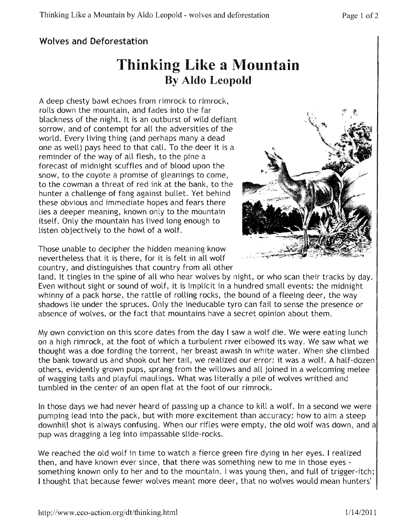## Wolves and Deforestation

## Thinking Like a **Mountain** By Aldo Leopold

A deep chesty bawl echoes from rimrock to rimrock, rolls down the mountain, and fades into the far blackness of the night. It is an outburst of wild defiant sorrow, and of contempt for all the adversities of the world. Every living thing (and perhaps many a dead one as well) pays heed to that call. To the deer it is a reminder of the way of all flesh, to the pine a forecast of midnight scuffles and of blood upon the snow, to the coyote a promise of gleanings to come, to the cowman a threat of red ink at the bank, to the hunter a challenge of fang against bullet. Yet behind these obvious and immediate hopes and fears there lies a deeper meaning, known only to the mountain itself. Only the mountain has lived long enough to listen objectively to the howl of a wolf.

Those unable to decipher the hidden meaning know nevertheless that it is there, for it is felt in all wolf country, and distinguishes that country from all other



land. It tingles in the spine of all who hear wolves by night, or who scan their tracks by day. Even without sight or sound of wolf, it is implicit in a hundred small events: the midnight whinny of a pack horse, the rattle of rolling rocks, the bound of a fleeing deer, the way shadows lie under the spruces. Only the ineducable tyro can fail to sense the presence or absence of wolves, or the fact that mountains have a secret opinion about them.

My own conviction on this score dates from the day I saw a wolf die. We were eating lunch on a high rimrock, at the foot of which a turbulent river elbowed its way. We saw what we thought was a doe fording the torrent, her breast awash in white water. When she climbed the bank toward us and shook out her tail, we realized our error: it was a wolf. A half-dozen others, evidently grown pups, sprang from the willows and all joined in a welcoming melee of wagging tails and playful maulings. What was literally a pile of wolves writhed and tumbled in the center of an open flat at the foot of our rimrock.

In those days we had never heard of passing up a chance to kill a wolf. In a second we were pumping lead into the pack, but with more excitement than accuracy: how to aim a steep downhill shot is always confusing. When our rifles were empty, the old wolf was down, and a pup was dragging a leg into impassable slide-rocks.

We reached the old wolf in time to watch a fierce green fire dying in her eyes. I realized then, and have known ever since, that there was something new to me in those eyes something known only to her and to the mountain. I was young then, and full of trigger-itch; I thought that because fewer wolves meant more deer, that no wolves would mean hunters'